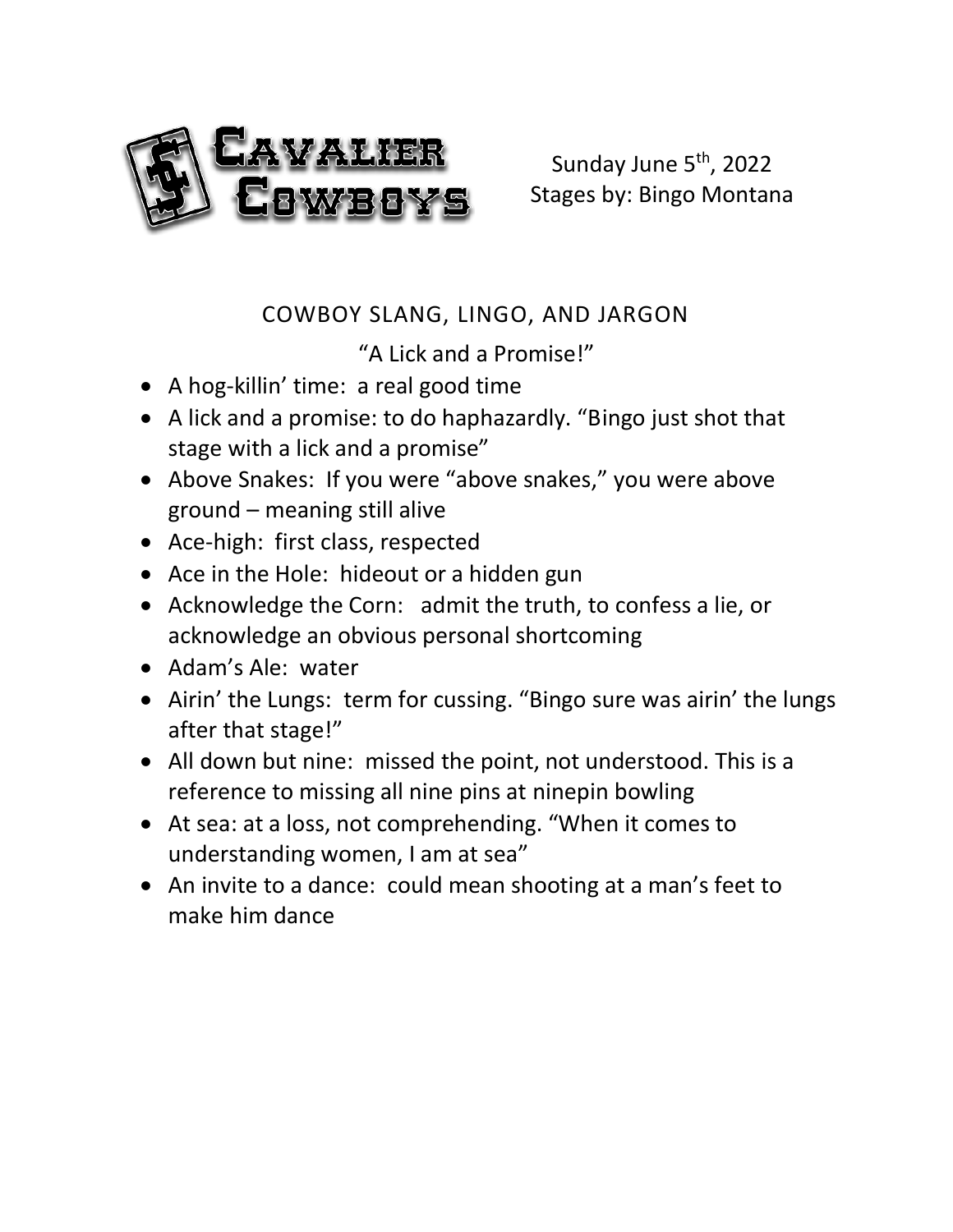

Sunday June 5<sup>th</sup>, 2022 Stages by: Bingo Montana

# COWBOY SLANG, LINGO, AND JARGON

"A Lick and a Promise!"

- A hog-killin' time: a real good time
- A lick and a promise: to do haphazardly. "Bingo just shot that stage with a lick and a promise"
- Above Snakes: If you were "above snakes," you were above ground – meaning still alive
- Ace-high: first class, respected
- Ace in the Hole: hideout or a hidden gun
- Acknowledge the Corn: admit the truth, to confess a lie, or acknowledge an obvious personal shortcoming
- Adam's Ale: water
- Airin' the Lungs: term for cussing. "Bingo sure was airin' the lungs after that stage!"
- All down but nine: missed the point, not understood. This is a reference to missing all nine pins at ninepin bowling
- At sea: at a loss, not comprehending. "When it comes to understanding women, I am at sea"
- An invite to a dance: could mean shooting at a man's feet to make him dance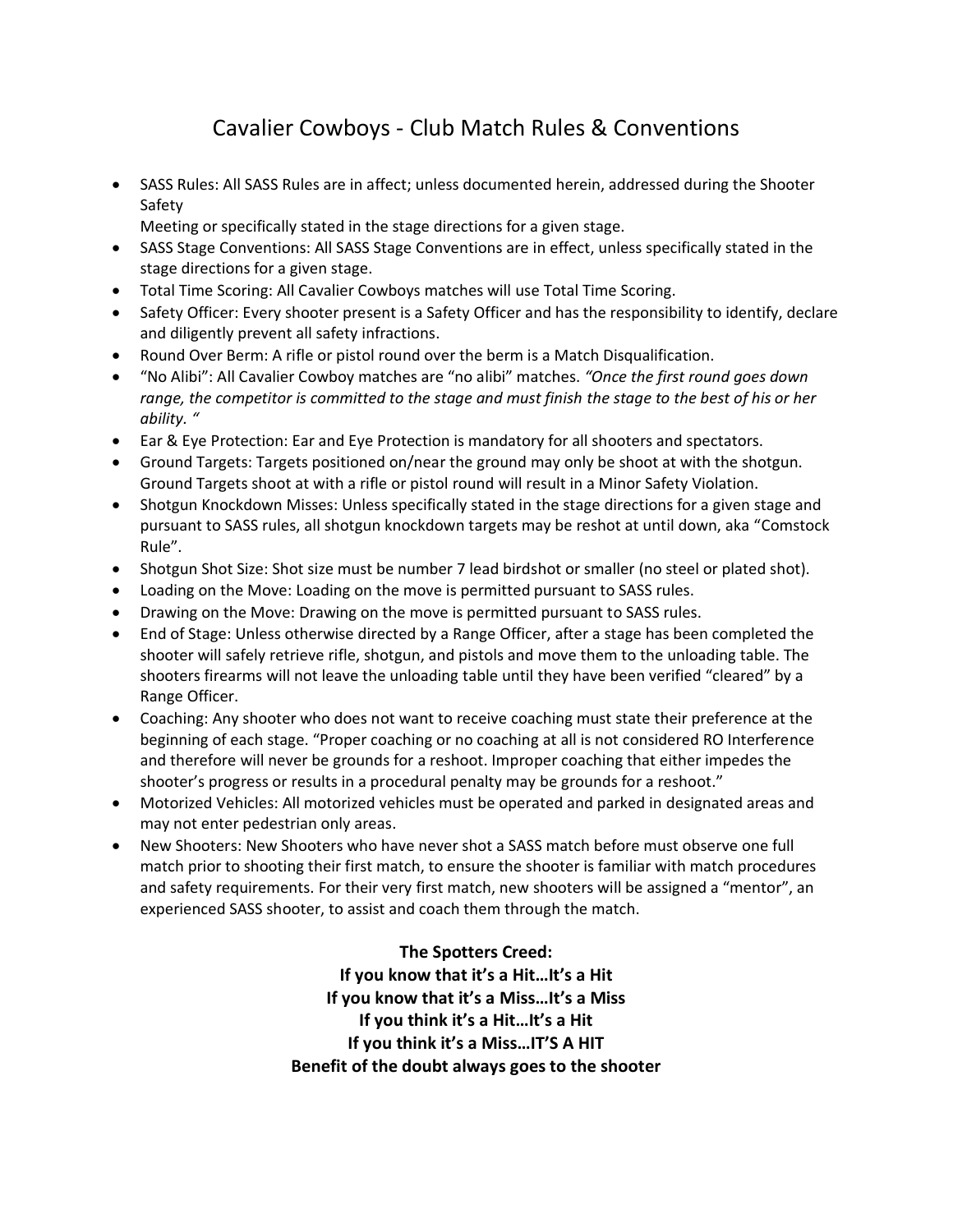# Cavalier Cowboys - Club Match Rules & Conventions

- SASS Rules: All SASS Rules are in affect; unless documented herein, addressed during the Shooter Safety
	- Meeting or specifically stated in the stage directions for a given stage.
- SASS Stage Conventions: All SASS Stage Conventions are in effect, unless specifically stated in the stage directions for a given stage.
- Total Time Scoring: All Cavalier Cowboys matches will use Total Time Scoring.
- Safety Officer: Every shooter present is a Safety Officer and has the responsibility to identify, declare and diligently prevent all safety infractions.
- Round Over Berm: A rifle or pistol round over the berm is a Match Disqualification.
- "No Alibi": All Cavalier Cowboy matches are "no alibi" matches. *"Once the first round goes down range, the competitor is committed to the stage and must finish the stage to the best of his or her ability. "*
- Ear & Eye Protection: Ear and Eye Protection is mandatory for all shooters and spectators.
- Ground Targets: Targets positioned on/near the ground may only be shoot at with the shotgun. Ground Targets shoot at with a rifle or pistol round will result in a Minor Safety Violation.
- Shotgun Knockdown Misses: Unless specifically stated in the stage directions for a given stage and pursuant to SASS rules, all shotgun knockdown targets may be reshot at until down, aka "Comstock Rule".
- Shotgun Shot Size: Shot size must be number 7 lead birdshot or smaller (no steel or plated shot).
- Loading on the Move: Loading on the move is permitted pursuant to SASS rules.
- Drawing on the Move: Drawing on the move is permitted pursuant to SASS rules.
- End of Stage: Unless otherwise directed by a Range Officer, after a stage has been completed the shooter will safely retrieve rifle, shotgun, and pistols and move them to the unloading table. The shooters firearms will not leave the unloading table until they have been verified "cleared" by a Range Officer.
- Coaching: Any shooter who does not want to receive coaching must state their preference at the beginning of each stage. "Proper coaching or no coaching at all is not considered RO Interference and therefore will never be grounds for a reshoot. Improper coaching that either impedes the shooter's progress or results in a procedural penalty may be grounds for a reshoot."
- Motorized Vehicles: All motorized vehicles must be operated and parked in designated areas and may not enter pedestrian only areas.
- New Shooters: New Shooters who have never shot a SASS match before must observe one full match prior to shooting their first match, to ensure the shooter is familiar with match procedures and safety requirements. For their very first match, new shooters will be assigned a "mentor", an experienced SASS shooter, to assist and coach them through the match.

**The Spotters Creed: If you know that it's a Hit…It's a Hit If you know that it's a Miss…It's a Miss If you think it's a Hit…It's a Hit If you think it's a Miss…IT'S A HIT Benefit of the doubt always goes to the shooter**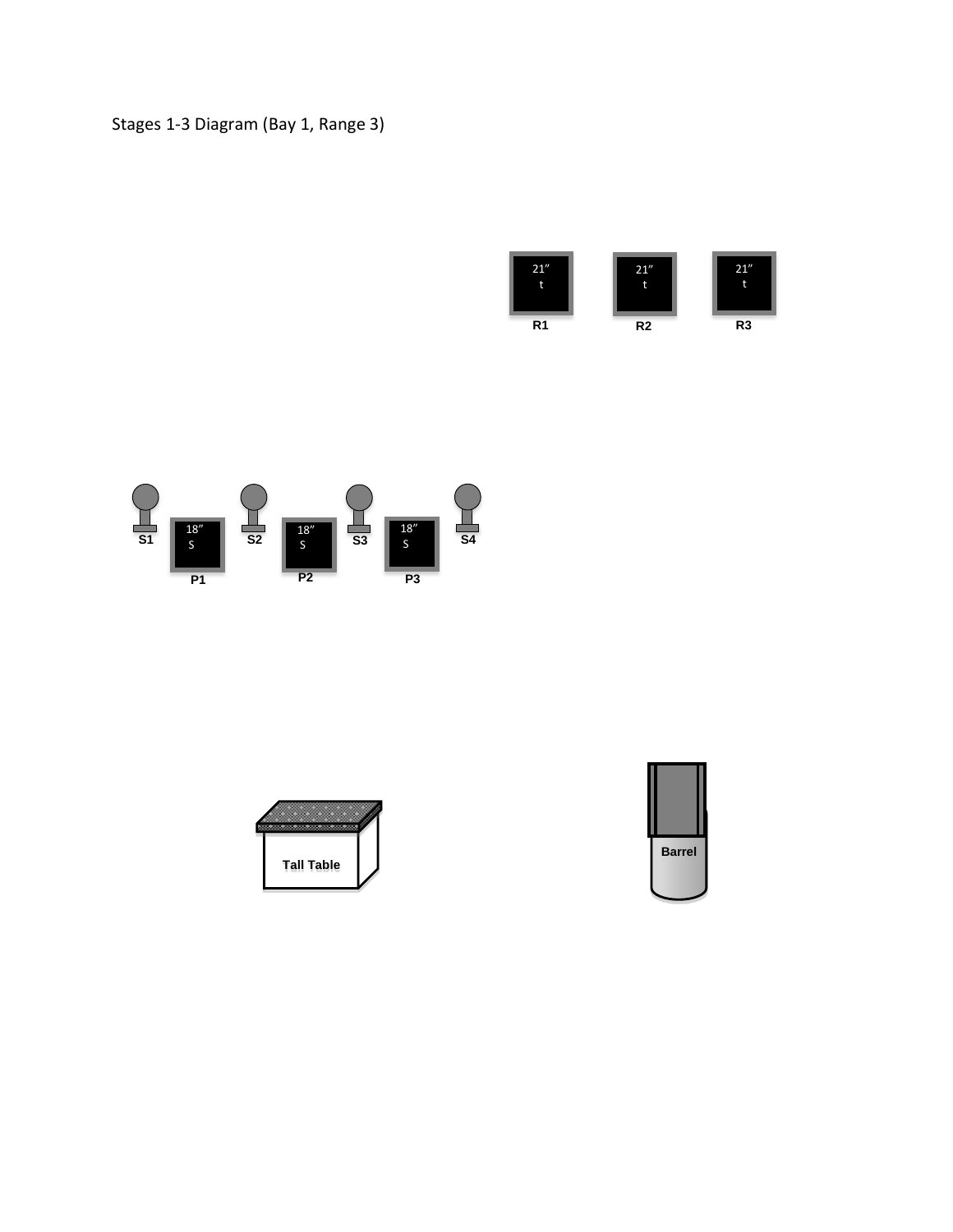## Stages 1-3 Diagram (Bay 1, Range 3)







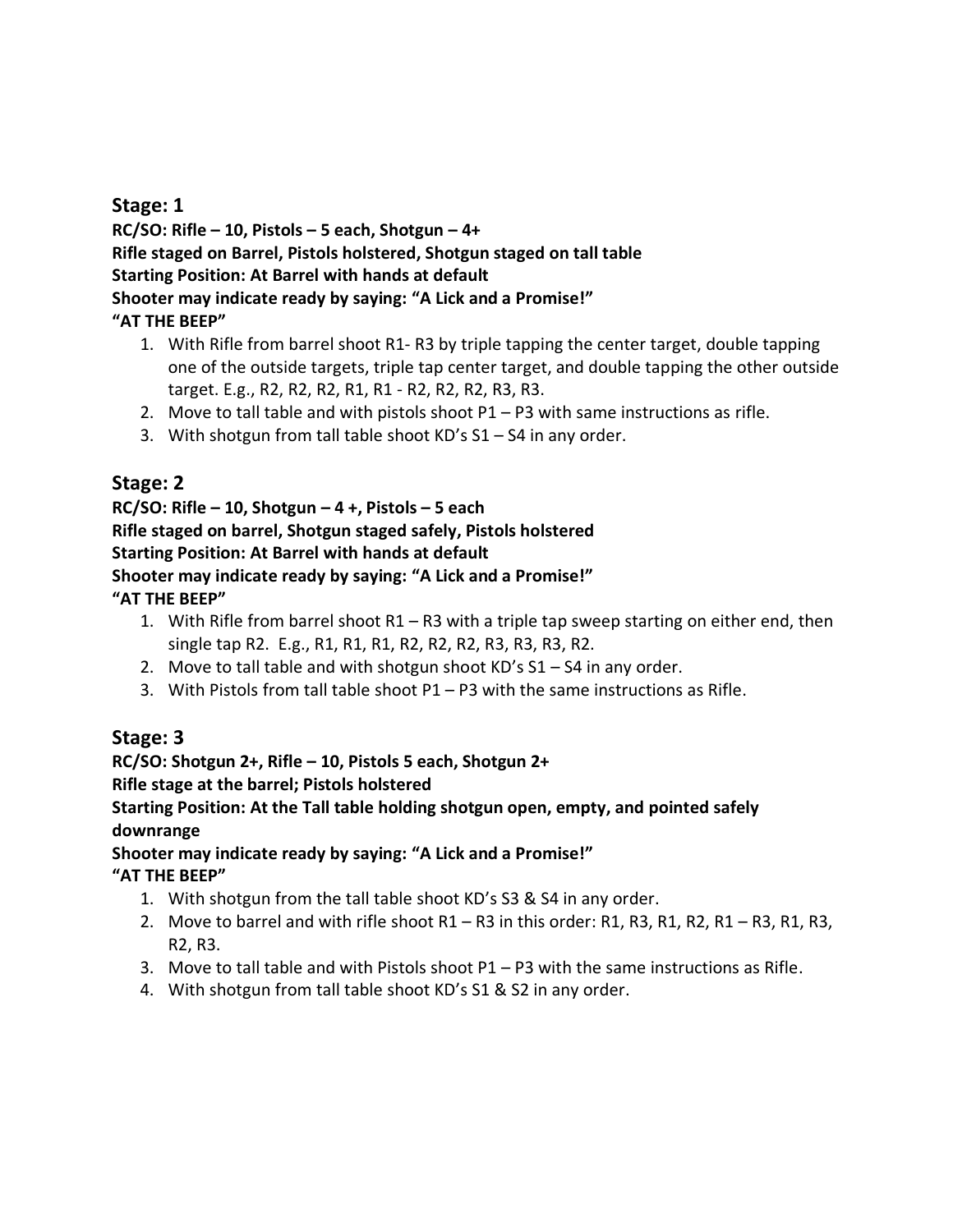### **Stage: 1**

**RC/SO: Rifle – 10, Pistols – 5 each, Shotgun – 4+ Rifle staged on Barrel, Pistols holstered, Shotgun staged on tall table Starting Position: At Barrel with hands at default Shooter may indicate ready by saying: "A Lick and a Promise!" "AT THE BEEP"**

- 1. With Rifle from barrel shoot R1- R3 by triple tapping the center target, double tapping one of the outside targets, triple tap center target, and double tapping the other outside target. E.g., R2, R2, R2, R1, R1 - R2, R2, R2, R3, R3.
- 2. Move to tall table and with pistols shoot P1 P3 with same instructions as rifle.
- 3. With shotgun from tall table shoot KD's S1 S4 in any order.

## **Stage: 2**

#### **RC/SO: Rifle – 10, Shotgun – 4 +, Pistols – 5 each Rifle staged on barrel, Shotgun staged safely, Pistols holstered Starting Position: At Barrel with hands at default Shooter may indicate ready by saying: "A Lick and a Promise!" "AT THE BEEP"**

- 1. With Rifle from barrel shoot R1 R3 with a triple tap sweep starting on either end, then single tap R2. E.g., R1, R1, R1, R2, R2, R2, R3, R3, R3, R2.
- 2. Move to tall table and with shotgun shoot  $KD's S1 S4$  in any order.
- 3. With Pistols from tall table shoot P1 P3 with the same instructions as Rifle.

## **Stage: 3**

### **RC/SO: Shotgun 2+, Rifle – 10, Pistols 5 each, Shotgun 2+**

#### **Rifle stage at the barrel; Pistols holstered**

#### **Starting Position: At the Tall table holding shotgun open, empty, and pointed safely downrange**

#### **Shooter may indicate ready by saying: "A Lick and a Promise!" "AT THE BEEP"**

- 1. With shotgun from the tall table shoot KD's S3 & S4 in any order.
- 2. Move to barrel and with rifle shoot R1 R3 in this order: R1, R3, R1, R2, R1 R3, R1, R3, R2, R3.
- 3. Move to tall table and with Pistols shoot P1 P3 with the same instructions as Rifle.
- 4. With shotgun from tall table shoot KD's S1 & S2 in any order.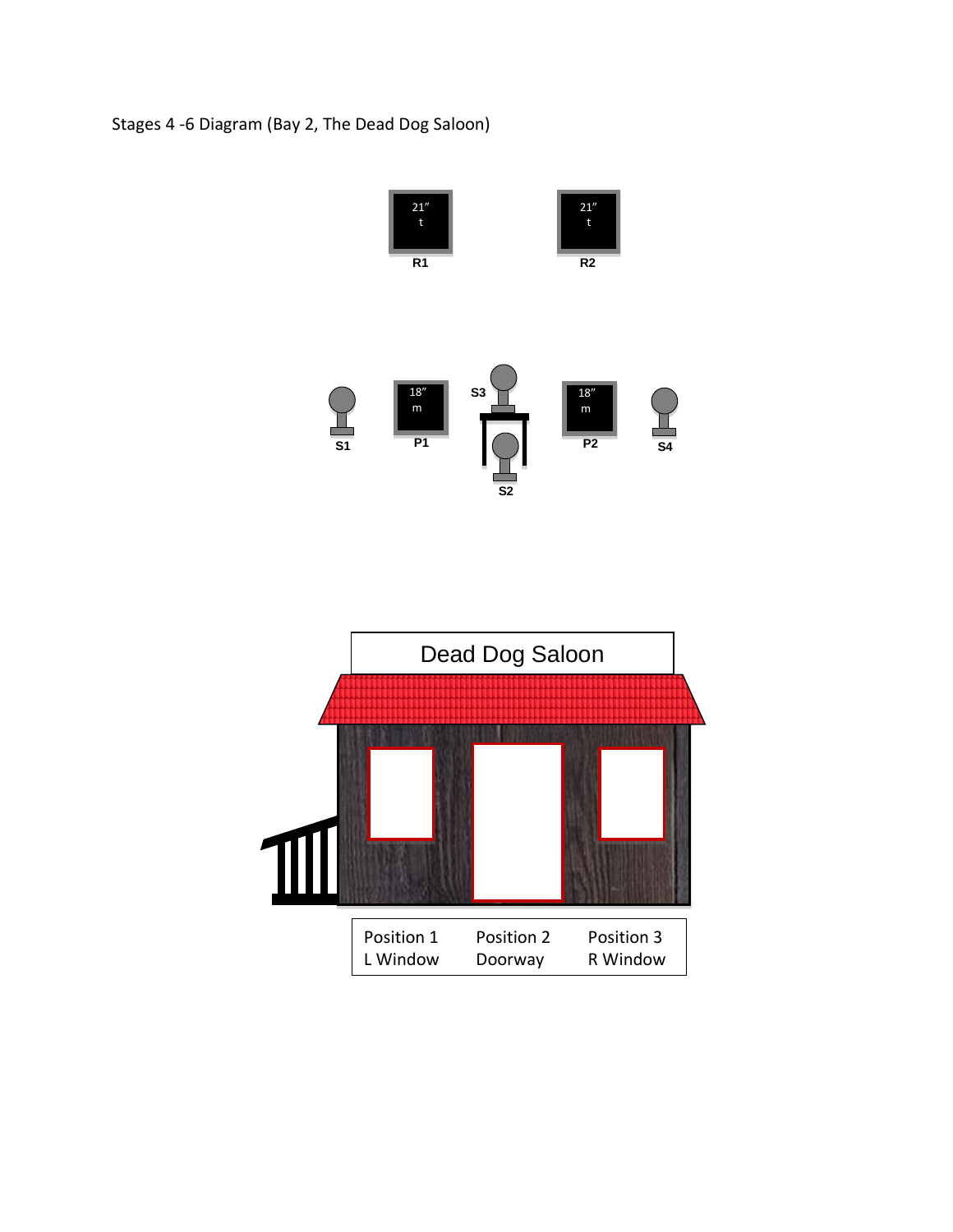## Stages 4 -6 Diagram (Bay 2, The Dead Dog Saloon)